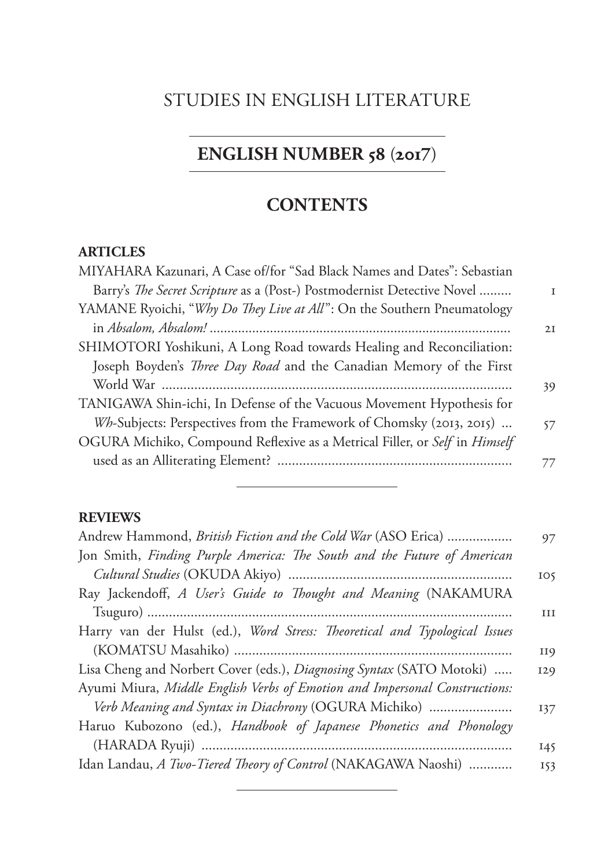### STUDIES IN ENGLISH LITERATURE

# **ENGLISH NUMBER 58 (2017)**

## **CONTENTS**

#### **ARTICLES**

| MIYAHARA Kazunari, A Case of/for "Sad Black Names and Dates": Sebastian    |    |
|----------------------------------------------------------------------------|----|
| Barry's The Secret Scripture as a (Post-) Postmodernist Detective Novel    |    |
| YAMANE Ryoichi, "Why Do They Live at All": On the Southern Pneumatology    |    |
|                                                                            | 2I |
| SHIMOTORI Yoshikuni, A Long Road towards Healing and Reconciliation:       |    |
| Joseph Boyden's <i>Three Day Road</i> and the Canadian Memory of the First |    |
|                                                                            | 39 |
| TANIGAWA Shin-ichi, In Defense of the Vacuous Movement Hypothesis for      |    |
| Wh-Subjects: Perspectives from the Framework of Chomsky (2013, 2015)       | 57 |
| OGURA Michiko, Compound Reflexive as a Metrical Filler, or Self in Himself |    |
|                                                                            | 77 |
|                                                                            |    |

#### **REVIEWS**

| Andrew Hammond, British Fiction and the Cold War (ASO Erica)               | 97              |
|----------------------------------------------------------------------------|-----------------|
| Jon Smith, Finding Purple America: The South and the Future of American    |                 |
|                                                                            | IO <sub>5</sub> |
| Ray Jackendoff, A User's Guide to Thought and Meaning (NAKAMURA            |                 |
|                                                                            | III             |
| Harry van der Hulst (ed.), Word Stress: Theoretical and Typological Issues |                 |
|                                                                            | <b>II9</b>      |
| Lisa Cheng and Norbert Cover (eds.), Diagnosing Syntax (SATO Motoki)       | 129             |
| Ayumi Miura, Middle English Verbs of Emotion and Impersonal Constructions: |                 |
| Verb Meaning and Syntax in Diachrony (OGURA Michiko)                       | 137             |
| Haruo Kubozono (ed.), Handbook of Japanese Phonetics and Phonology         |                 |
|                                                                            | 145             |
| Idan Landau, A Two-Tiered Theory of Control (NAKAGAWA Naoshi)              | 153             |
|                                                                            |                 |